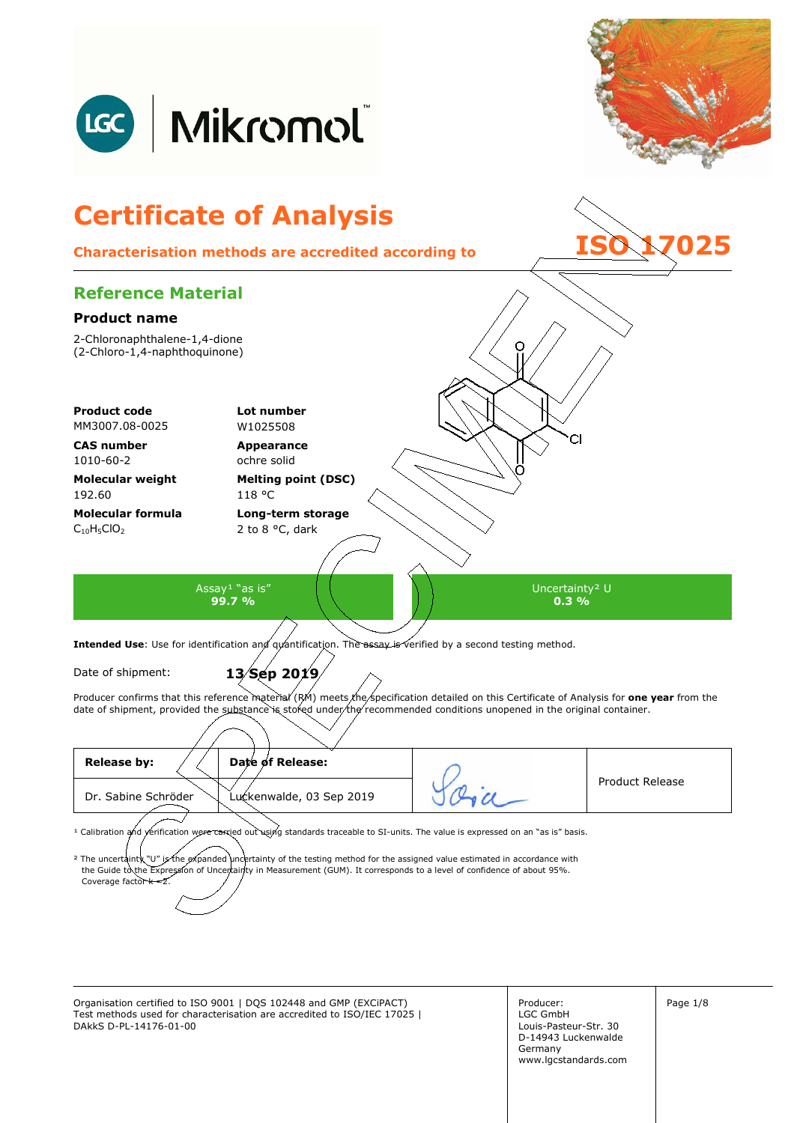

Organisation certified to ISO 9001 | DQS 102448 and GMP (EXCiPACT) Producer: Page 1/8 Test methods used for characterisation are accredited to ISO/IEC 17025 | DAkkS D-PL-14176-01-00

Producer: LGC GmbH Louis-Pasteur-Str. 30 D-14943 Luckenwalde Germany www.lgcstandards.com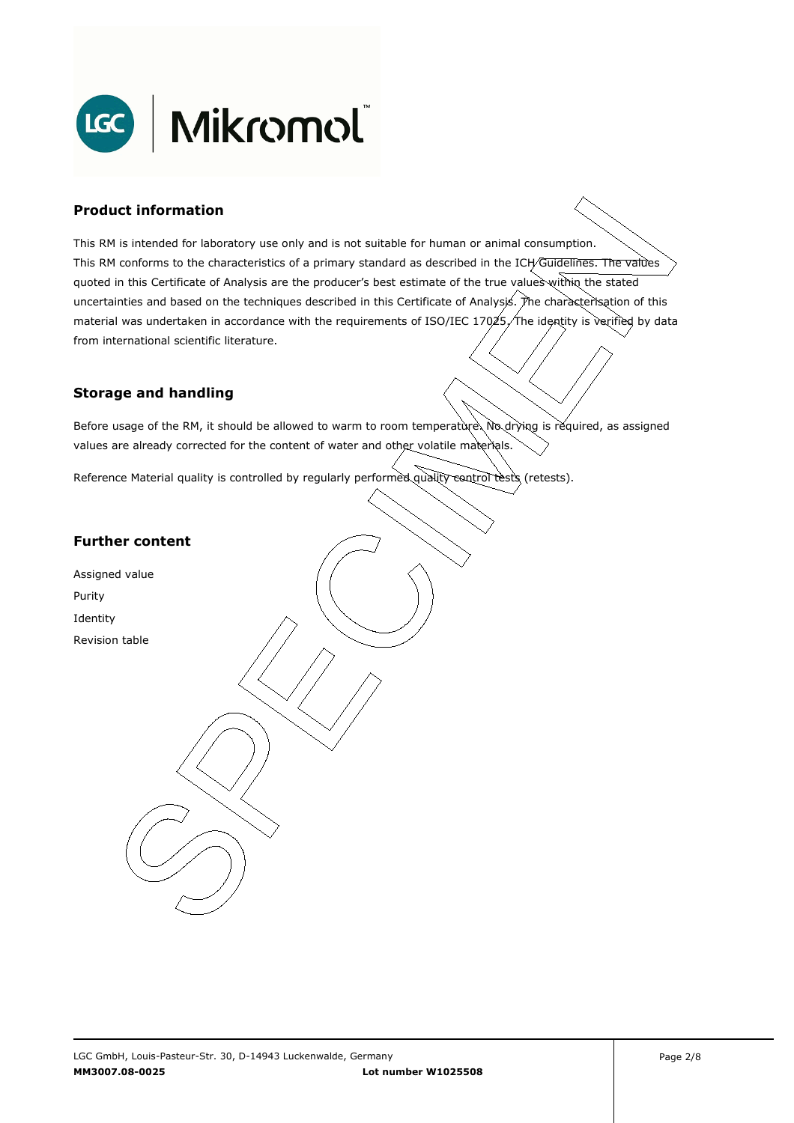

### **Product information**

This RM is intended for laboratory use only and is not suitable for human or animal consumption. This RM conforms to the characteristics of a primary standard as described in the ICH/Guidelines. The values quoted in this Certificate of Analysis are the producer's best estimate of the true values within the stated uncertainties and based on the techniques described in this Certificate of Analysis. The characterisation of this material was undertaken in accordance with the requirements of ISO/IEC 17025, The identity is verified by data . from international scientific literature.

#### **Storage and handling**

Before usage of the RM, it should be allowed to warm to room temperature. No drying is required, as assigned values are already corrected for the content of water and other volatile materials.

Reference Material quality is controlled by regularly performed quality control tests (retests).

## **Further content**

Assigned value Purity Identity Revision table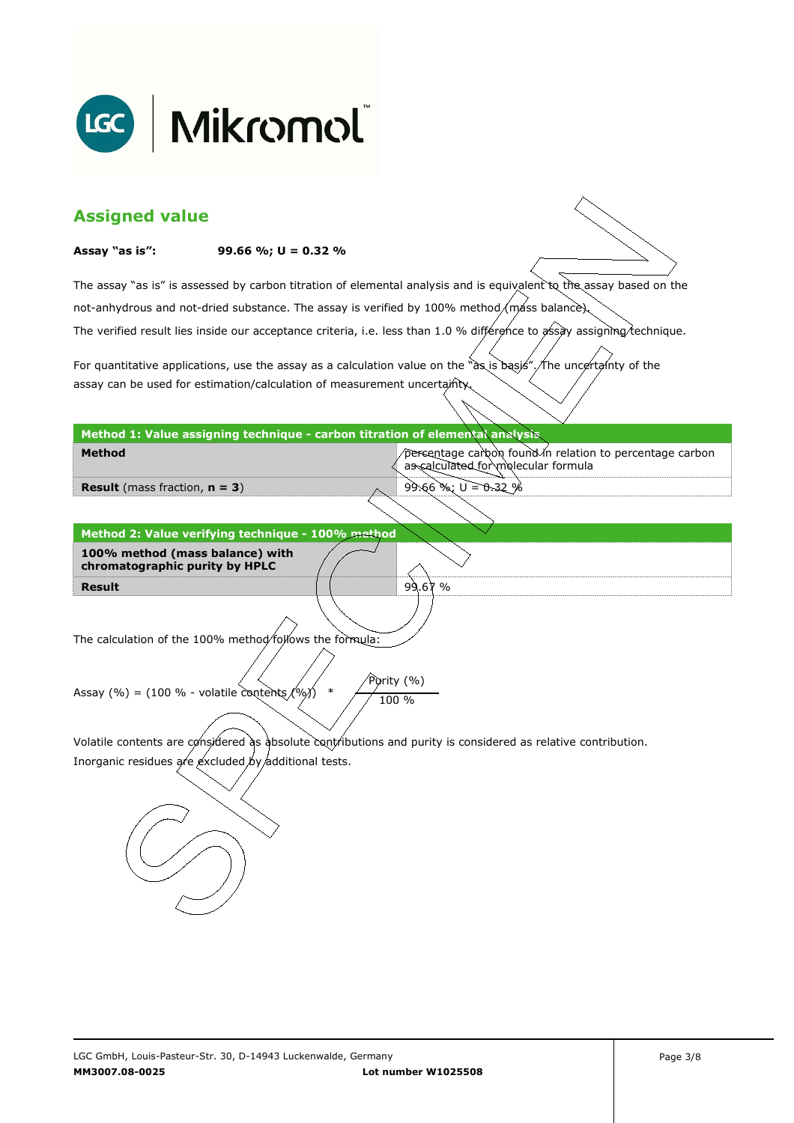

| <b>Assigned value</b>                                                                                                                                                 |                                                                              |                                                                                                                        |  |  |
|-----------------------------------------------------------------------------------------------------------------------------------------------------------------------|------------------------------------------------------------------------------|------------------------------------------------------------------------------------------------------------------------|--|--|
| Assay "as is":                                                                                                                                                        | 99.66 %; $U = 0.32$ %                                                        |                                                                                                                        |  |  |
|                                                                                                                                                                       |                                                                              | The assay "as is" is assessed by carbon titration of elemental analysis and is equivalent to the assay based on the    |  |  |
|                                                                                                                                                                       |                                                                              | not-anhydrous and not-dried substance. The assay is verified by 100% method/máss balance).                             |  |  |
|                                                                                                                                                                       |                                                                              | The verified result lies inside our acceptance criteria, i.e. less than 1.0 % différence to assay assigning technique. |  |  |
|                                                                                                                                                                       |                                                                              | For quantitative applications, use the assay as a calculation value on the "as is basis". The uncertainty of the       |  |  |
| assay can be used for estimation/calculation of measurement uncertainty.                                                                                              |                                                                              |                                                                                                                        |  |  |
|                                                                                                                                                                       | Method 1: Value assigning technique - carbon titration of elemental analysis |                                                                                                                        |  |  |
| <b>Method</b>                                                                                                                                                         |                                                                              | percentage carbon found in relation to percentage carbon<br>as calculated for molecular formula                        |  |  |
| <b>Result</b> (mass fraction, $n = 3$ )                                                                                                                               |                                                                              | $99.66$ %; $U = 0.32$ %                                                                                                |  |  |
|                                                                                                                                                                       |                                                                              |                                                                                                                        |  |  |
|                                                                                                                                                                       | Method 2: Value verifying technique - 100% method                            |                                                                                                                        |  |  |
| 100% method (mass balance) with                                                                                                                                       |                                                                              |                                                                                                                        |  |  |
| chromatographic purity by HPLC<br><b>Result</b>                                                                                                                       |                                                                              | 99.67%                                                                                                                 |  |  |
|                                                                                                                                                                       |                                                                              |                                                                                                                        |  |  |
|                                                                                                                                                                       | The calculation of the 100% method/follows the formula:                      |                                                                                                                        |  |  |
| Purity (%)                                                                                                                                                            |                                                                              |                                                                                                                        |  |  |
| $\ast$<br>Assay (%) = (100 % - volatile contents $(%$ )<br>100 %                                                                                                      |                                                                              |                                                                                                                        |  |  |
|                                                                                                                                                                       |                                                                              |                                                                                                                        |  |  |
| Volatile contents are considered as absolute contributions and purity is considered as relative contribution.<br>Inorganic residues are excluded by additional tests. |                                                                              |                                                                                                                        |  |  |
|                                                                                                                                                                       |                                                                              |                                                                                                                        |  |  |
|                                                                                                                                                                       |                                                                              |                                                                                                                        |  |  |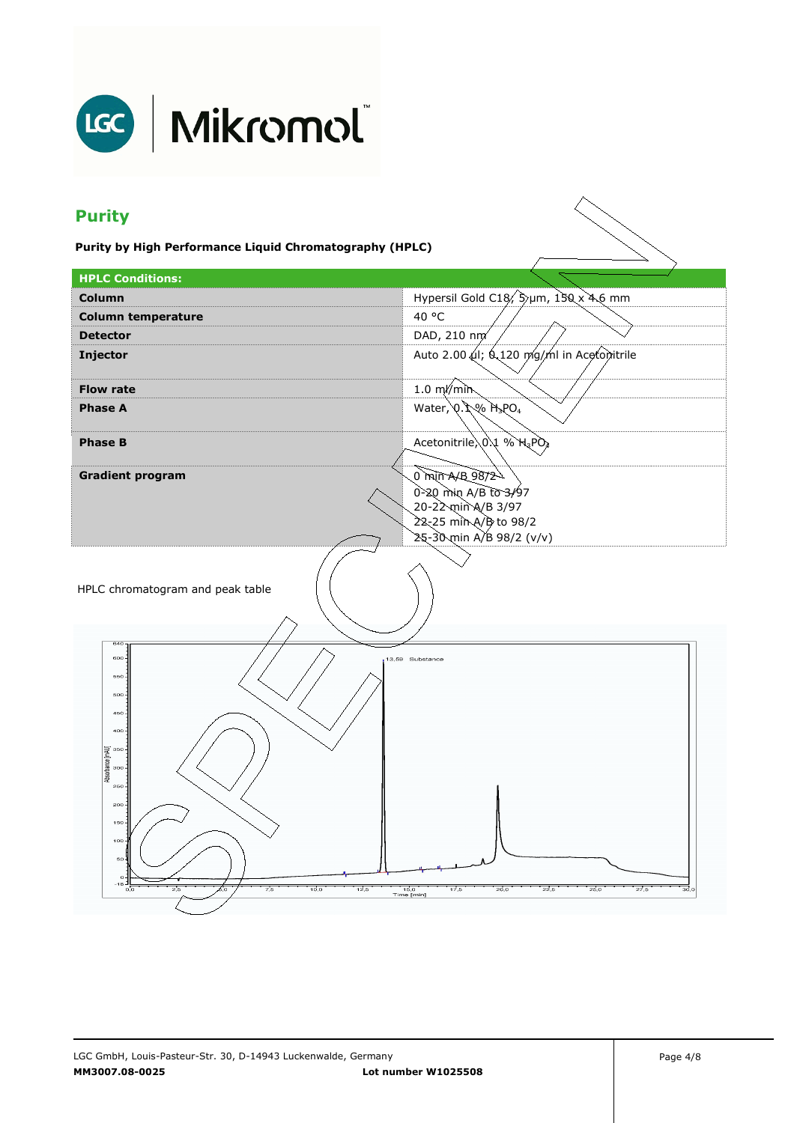

## LGC | Mikromol

## **Purity**

**Purity by High Performance Liquid Chromatography (HPLC)** 

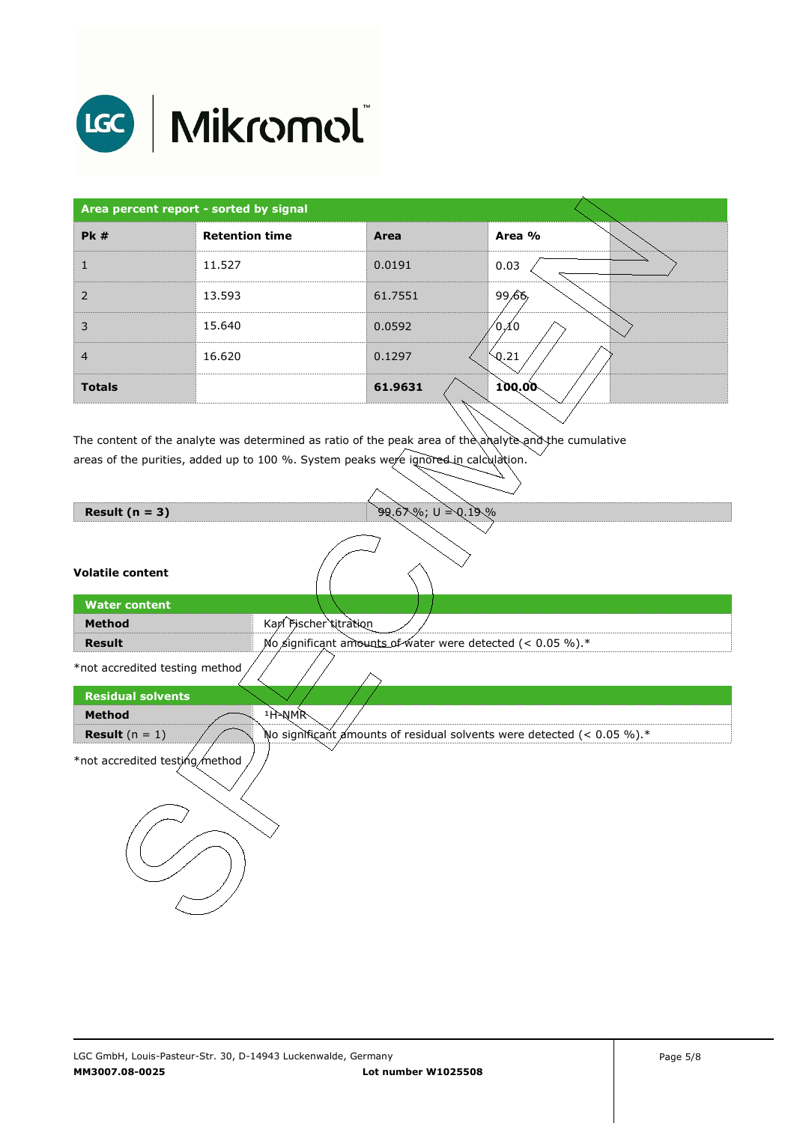

# LGC | Mikromol

| Area percent report - sorted by signal |                       |         |        |
|----------------------------------------|-----------------------|---------|--------|
| PK#                                    | <b>Retention time</b> | Area    | Area % |
|                                        | 11.527                | 0.0191  | 0.03   |
| $\overline{2}$                         | 13.593                | 61.7551 | 99.66  |
| 3                                      | 15.640                | 0.0592  | ⁄0 10  |
| $\overline{4}$                         | 16.620                | 0.1297  | Q.21   |
| <b>Totals</b>                          |                       | 61.9631 | 100.00 |

The content of the analyte was determined as ratio of the peak area of the analyte and the cumulative areas of the purities, added up to 100 %. System peaks were ignored in calculation.

| Result $(n = 3)$ |  |  |  |
|------------------|--|--|--|
|------------------|--|--|--|

#### **Volatile content**

| <b>Water content</b> |                                                               |  |  |
|----------------------|---------------------------------------------------------------|--|--|
| <b>Method</b>        | Karl Fischer titration                                        |  |  |
| Result               | No significant amounts of water were detected $(< 0.05\%$ ).* |  |  |
|                      |                                                               |  |  |

 $\sim$ 

**PQ.67%; U = 0.19%** 

\*not accredited testing method  $\Big/ \Big/ \Big/ \Big/$ 

| <b>Residual solvents</b>       |                                                                           |
|--------------------------------|---------------------------------------------------------------------------|
| <b>Method</b>                  | <sup>1</sup> H-NMR                                                        |
| <b>Result</b> $(n = 1)$        | No significant amounts of residual solvents were detected (< $0.05\%$ ).* |
| *not accredited testing method |                                                                           |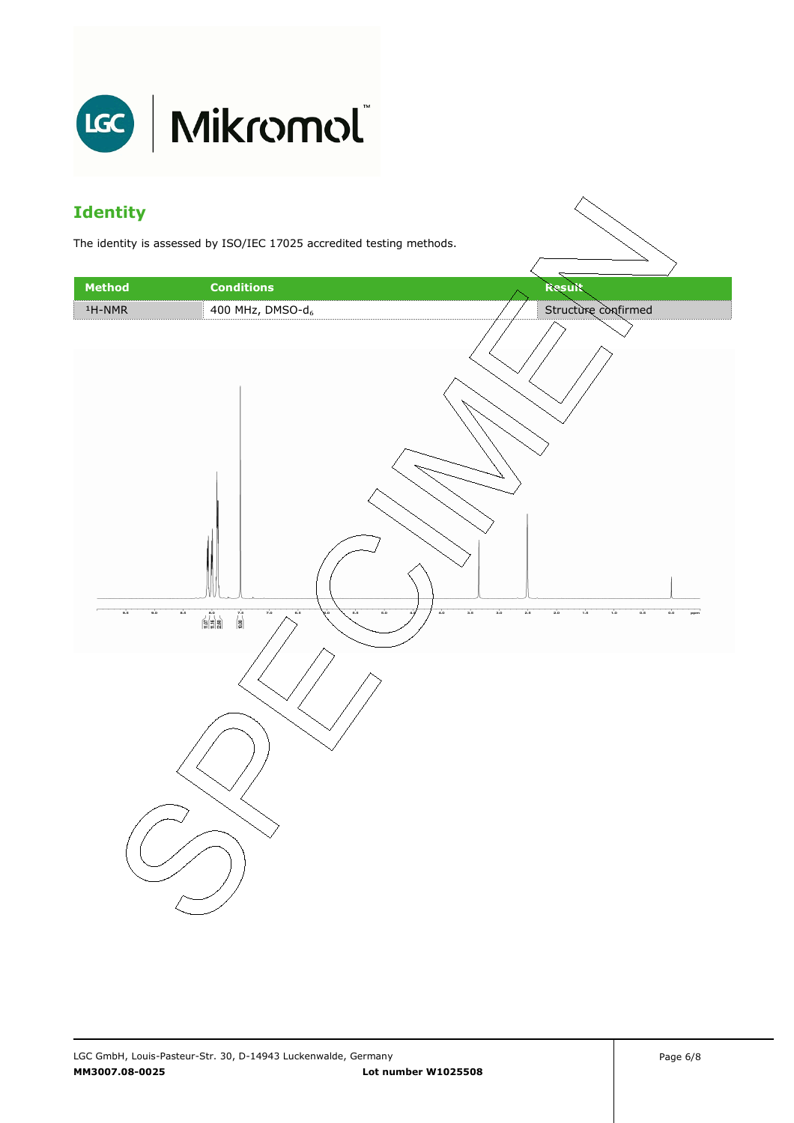

## **Identity**

The identity is assessed by ISO/IEC 17025 accredited testing methods.

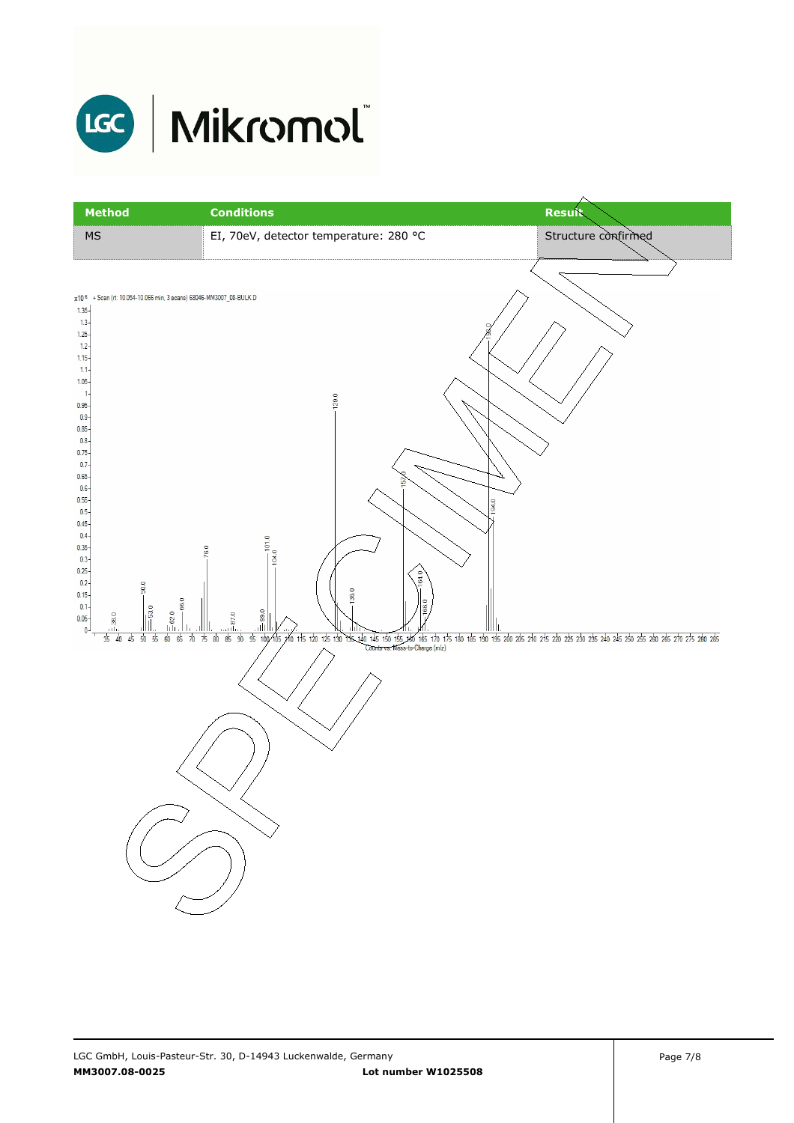

| <b>Method</b>                                                                                                                                                                                                                                                                                                                                                                                                                    | <b>Conditions</b>                                                                 | <b>Result</b>                                                                                                                                                                         |
|----------------------------------------------------------------------------------------------------------------------------------------------------------------------------------------------------------------------------------------------------------------------------------------------------------------------------------------------------------------------------------------------------------------------------------|-----------------------------------------------------------------------------------|---------------------------------------------------------------------------------------------------------------------------------------------------------------------------------------|
| $\overline{\mathsf{MS}}$                                                                                                                                                                                                                                                                                                                                                                                                         | EI, 70eV, detector temperature: 280 °C                                            | Structure confirmed                                                                                                                                                                   |
| x10 6 + Scan (rt: 10.054-10.066 min, 3 scans) 68046-MM3007_08-BULK.D<br>$1.35 -$<br>$1.3 -$<br>$1.25 -$<br>$1.2 -$<br>$1.15 -$<br>$1.1 -$<br>$1.05 -$<br>$\mathbf{1}$<br>$0.95 -$<br>$0.9 -$<br>$0.85 -$<br>$0.8 -$<br>$0.75 -$<br>0.7<br>$0.65 -$<br>$0.6 -$<br>$0.55 -$<br>$0.5 -$<br>$0.45 -$<br>$0.4 -$<br>0.35<br>$0.3 -$<br>0.25<br>$0.2 -$<br>50.0<br>$0.15 -$<br>$0.1 -$<br>$\frac{6}{530}$<br>$\frac{1}{2}$<br>$0.05 -$ | 129.0<br>101.0<br>76.0<br>104.0<br>64.0<br>136.0<br>$-66.0$<br>8<br>$\equiv 62.0$ | 194.0                                                                                                                                                                                 |
| $\mathbf 0$<br>$35 \quad 40$<br>50<br>60<br>45<br>55                                                                                                                                                                                                                                                                                                                                                                             | 7580<br>85<br>65 70<br>90                                                         | 95 100 105 120 125 130 135 140 145 150 155 340 165 170 175 180 185 190 195 200 205 210 215 220 225 230 235 240 245 250 265 260 265 270 275 280 285<br>Counts vs. Mass-to-Charge (m/z) |